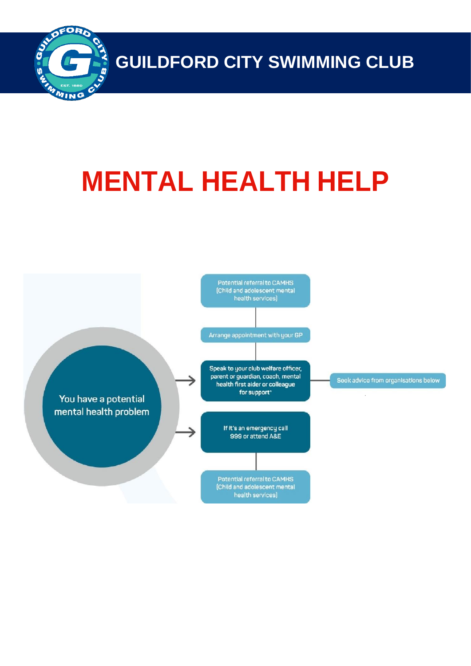

**GUILDFORD CITY SWIMMING CLUB**

# **MENTAL HEALTH HELP**

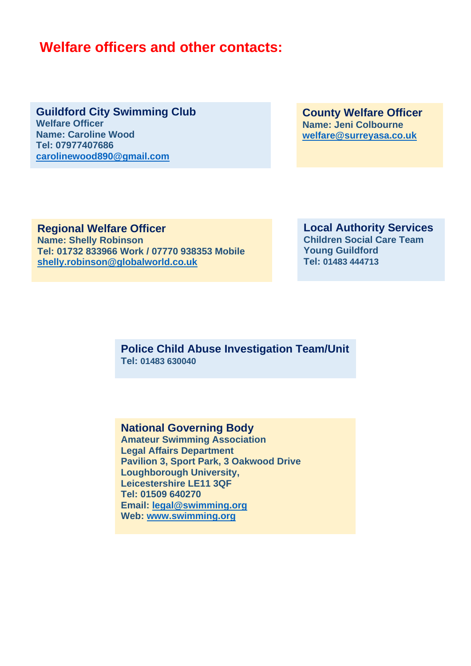# **Welfare officers and other contacts:**

**Guildford City Swimming Club Welfare Officer Name: Caroline Wood Tel: 07977407686 carolinewood890@gmail.com**

**County Welfare Officer Name: Jeni Colbourne welfare@surreyasa.co.uk**

**Regional Welfare Officer Name: Shelly Robinson Tel: 01732 833966 Work / 07770 938353 Mobile shelly.robinson@globalworld.co.uk**

**Local Authority Services Children Social Care Team Young Guildford Tel: 01483 444713**

**Police Child Abuse Investigation Team/Unit Tel: 01483 630040**

#### **National Governing Body**

**Amateur Swimming Association Legal Affairs Department Pavilion 3, Sport Park, 3 Oakwood Drive Loughborough University, Leicestershire LE11 3QF Tel: 01509 640270 Email: legal@swimming.org Web: www.swimming.org**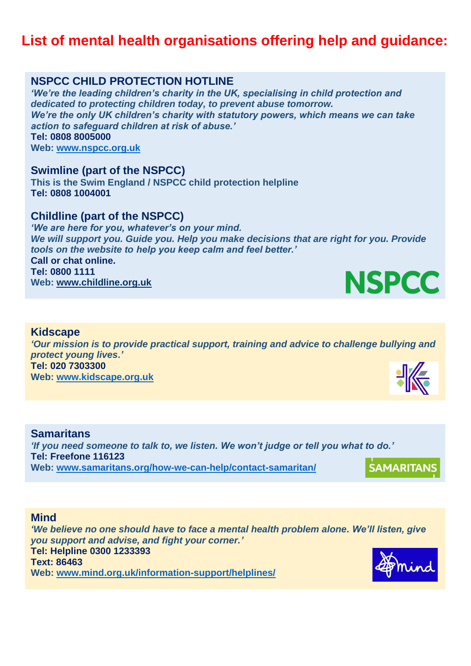# **List of mental health organisations offering help and guidance:**

### **NSPCC CHILD PROTECTION HOTLINE**

*'We're the leading children's charity in the UK, specialising in child protection and dedicated to protecting children today, to prevent abuse tomorrow. We're the only UK children's charity with statutory powers, which means we can take action to safeguard children at risk of abuse.'* **Tel: 0808 8005000 Web: www.nspcc.org.uk**

#### **Swimline (part of the NSPCC)**

**This is the Swim England / NSPCC child protection helpline Tel: 0808 1004001**

#### **Childline (part of the NSPCC)**

*'We are here for you, whatever's on your mind. We will support you. Guide you. Help you make decisions that are right for you. Provide tools on the website to help you keep calm and feel better.'* **Call or chat online. Tel: 0800 1111 Web: www.childline.org.uk**

#### **Kidscape**

*'Our mission is to provide practical support, training and advice to challenge bullying and protect young lives.'* **Tel: 020 7303300 Web: www.kidscape.org.uk**

#### **Samaritans** *'If you need someone to talk to, we listen. We won't judge or tell you what to do.'* **Tel: Freefone 116123 SAMARITANS Web: www.samaritans.org/how-we-can-help/contact-samaritan/**

#### **Mind**

*'We believe no one should have to face a mental health problem alone. We'll listen, give you support and advise, and fight your corner.'* **Tel: Helpline 0300 1233393 Text: 86463 Web: www.mind.org.uk/information-support/helplines/**